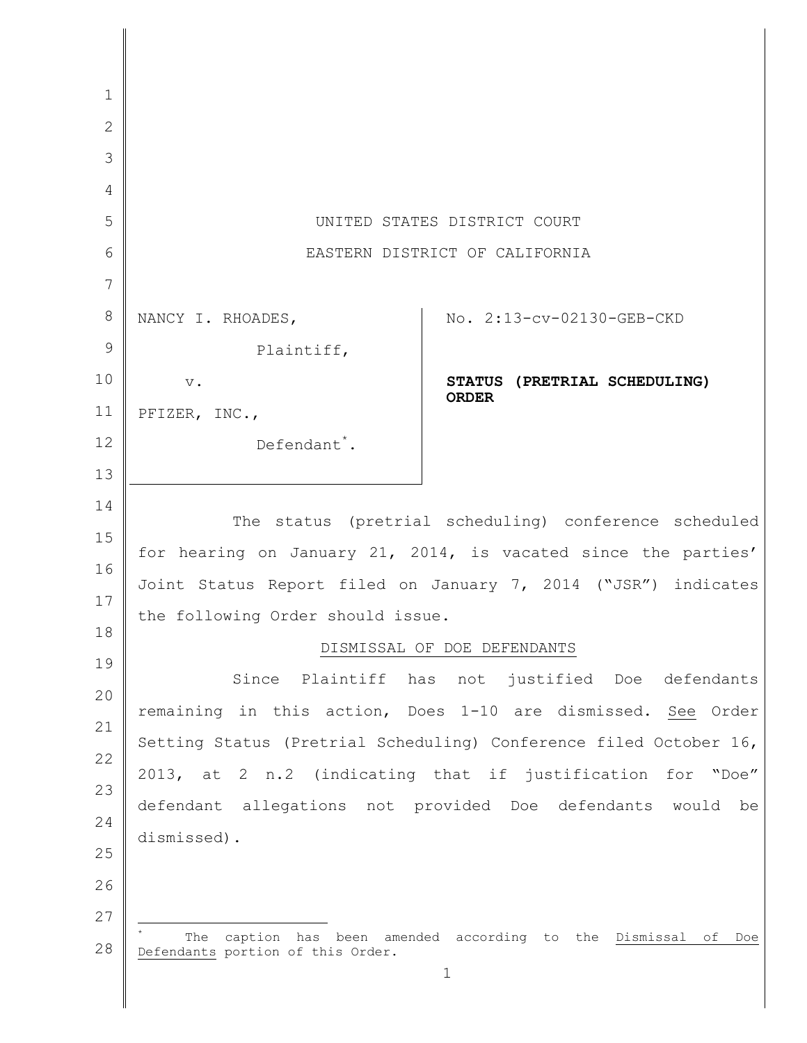| $\mathbf{1}$ |                                                                      |  |
|--------------|----------------------------------------------------------------------|--|
| $\mathbf{2}$ |                                                                      |  |
| 3            |                                                                      |  |
| 4            |                                                                      |  |
| 5            | UNITED STATES DISTRICT COURT                                         |  |
| 6            | EASTERN DISTRICT OF CALIFORNIA                                       |  |
| 7            |                                                                      |  |
| $8\,$        | No. 2:13-cv-02130-GEB-CKD<br>NANCY I. RHOADES,                       |  |
| 9            | Plaintiff,                                                           |  |
| 10           | STATUS (PRETRIAL SCHEDULING)<br>$V_{\bullet}$                        |  |
| 11           | <b>ORDER</b><br>PFIZER, INC.,                                        |  |
| 12           | Defendant <sup>*</sup> .                                             |  |
| 13           |                                                                      |  |
| 14           |                                                                      |  |
| 15           | The status (pretrial scheduling) conference scheduled                |  |
| 16           | for hearing on January 21, 2014, is vacated since the parties'       |  |
| 17           | Joint Status Report filed on January 7, 2014 ("JSR") indicates       |  |
| 18           | the following Order should issue.                                    |  |
| 19           | DISMISSAL OF DOE DEFENDANTS                                          |  |
| 20           | Since Plaintiff has not justified Doe defendants                     |  |
| 21           | remaining in this action, Does 1-10 are dismissed. See Order         |  |
| 22           | Setting Status (Pretrial Scheduling) Conference filed October 16,    |  |
| 23           | 2013, at 2 n.2 (indicating that if justification for "Doe"           |  |
| 24           | defendant allegations not provided Doe defendants would be           |  |
| 25           | dismissed).                                                          |  |
| 26           |                                                                      |  |
| 27           |                                                                      |  |
|              | The<br>caption<br>has been amended according to the Dismissal of Doe |  |
| 28           | Defendants portion of this Order.<br>$\mathbf 1$                     |  |
|              |                                                                      |  |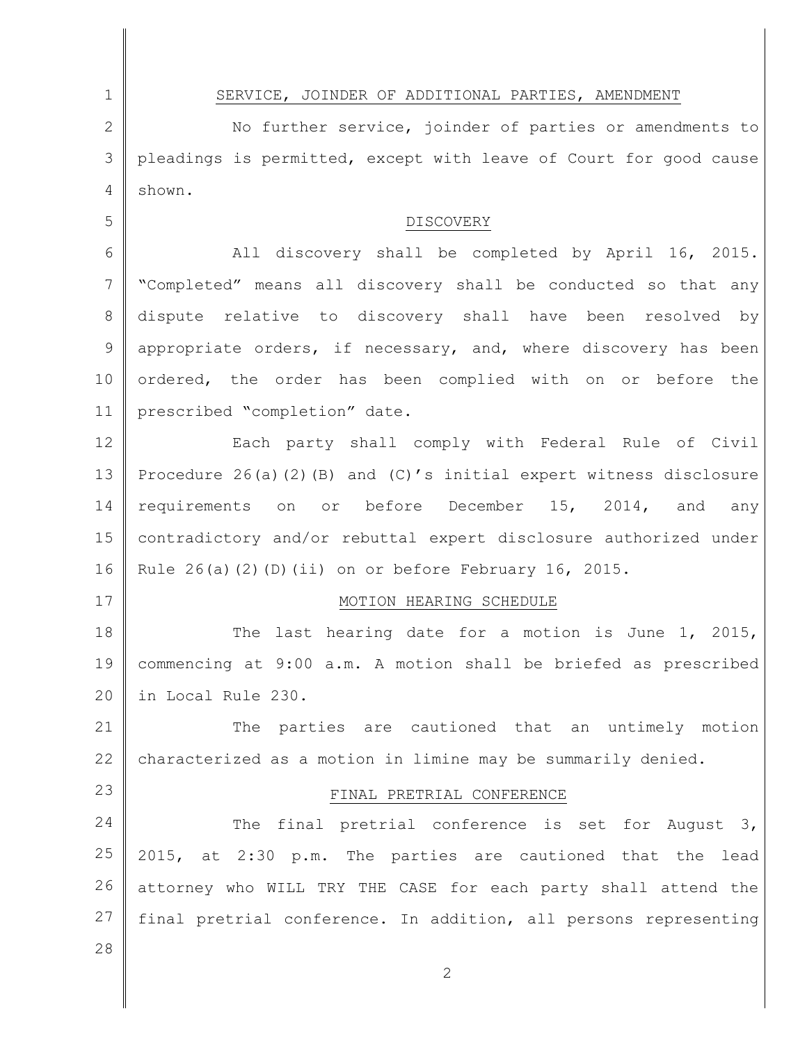1 2 3 4 5 6 7 8 9 10 11 12 13 14 15 16 17 18 19 20 21 22 23 24 25 26 27 28 2 SERVICE, JOINDER OF ADDITIONAL PARTIES, AMENDMENT No further service, joinder of parties or amendments to pleadings is permitted, except with leave of Court for good cause shown. DISCOVERY All discovery shall be completed by April 16, 2015. "Completed" means all discovery shall be conducted so that any dispute relative to discovery shall have been resolved by appropriate orders, if necessary, and, where discovery has been ordered, the order has been complied with on or before the prescribed "completion" date. Each party shall comply with Federal Rule of Civil Procedure 26(a)(2)(B) and (C)'s initial expert witness disclosure requirements on or before December 15, 2014, and any contradictory and/or rebuttal expert disclosure authorized under Rule  $26(a)(2)(D)(ii)$  on or before February 16, 2015. MOTION HEARING SCHEDULE The last hearing date for a motion is June 1, 2015, commencing at 9:00 a.m. A motion shall be briefed as prescribed in Local Rule 230. The parties are cautioned that an untimely motion characterized as a motion in limine may be summarily denied. FINAL PRETRIAL CONFERENCE The final pretrial conference is set for August 3, 2015, at 2:30 p.m. The parties are cautioned that the lead attorney who WILL TRY THE CASE for each party shall attend the final pretrial conference. In addition, all persons representing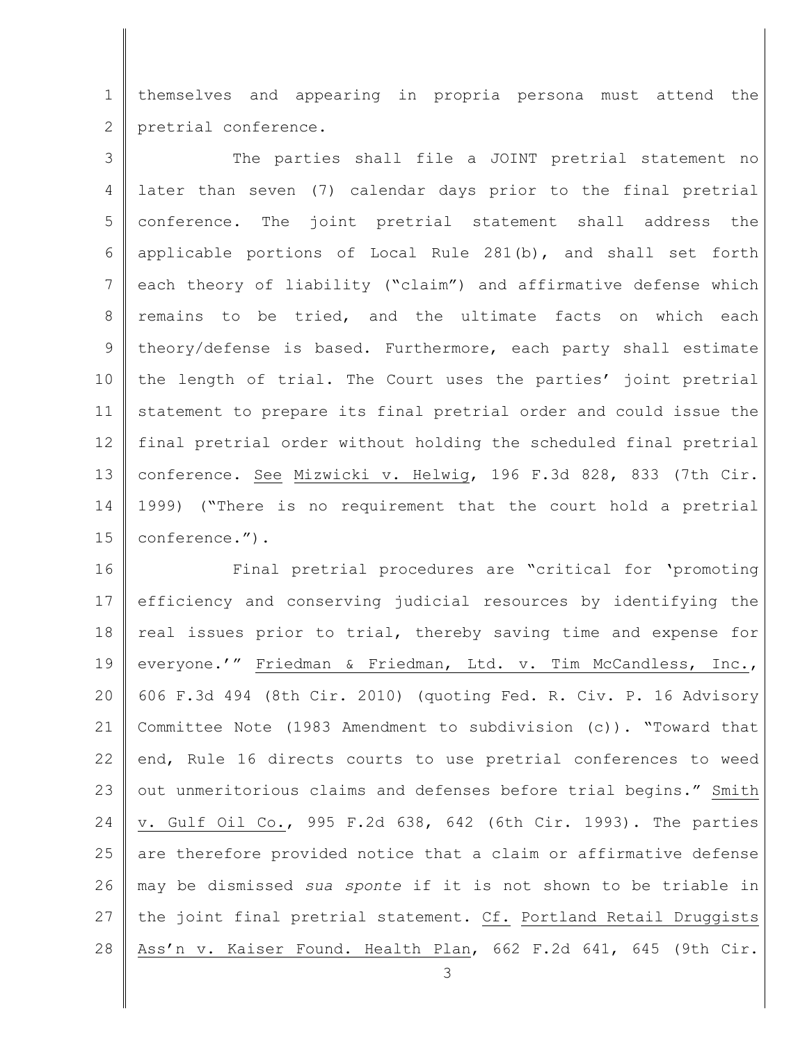1 2 themselves and appearing in propria persona must attend the pretrial conference.

3 4 5 6 7 8 9 10 11 12 13 14 15 The parties shall file a JOINT pretrial statement no later than seven (7) calendar days prior to the final pretrial conference. The joint pretrial statement shall address the applicable portions of Local Rule 281(b), and shall set forth each theory of liability ("claim") and affirmative defense which remains to be tried, and the ultimate facts on which each theory/defense is based. Furthermore, each party shall estimate the length of trial. The Court uses the parties' joint pretrial statement to prepare its final pretrial order and could issue the final pretrial order without holding the scheduled final pretrial conference. See Mizwicki v. Helwig, 196 F.3d 828, 833 (7th Cir. 1999) ("There is no requirement that the court hold a pretrial conference.").

16 17 18 19 20 21 22 23 24 25 26 27 28 Final pretrial procedures are "critical for 'promoting efficiency and conserving judicial resources by identifying the real issues prior to trial, thereby saving time and expense for everyone.'" Friedman & Friedman, Ltd. v. Tim McCandless, Inc., 606 F.3d 494 (8th Cir. 2010) (quoting Fed. R. Civ. P. 16 Advisory Committee Note (1983 Amendment to subdivision (c)). "Toward that end, Rule 16 directs courts to use pretrial conferences to weed out unmeritorious claims and defenses before trial begins." Smith v. Gulf Oil Co., 995 F.2d 638, 642 (6th Cir. 1993). The parties are therefore provided notice that a claim or affirmative defense may be dismissed *sua sponte* if it is not shown to be triable in the joint final pretrial statement. Cf. Portland Retail Druggists Ass'n v. Kaiser Found. Health Plan, 662 F.2d 641, 645 (9th Cir.

3